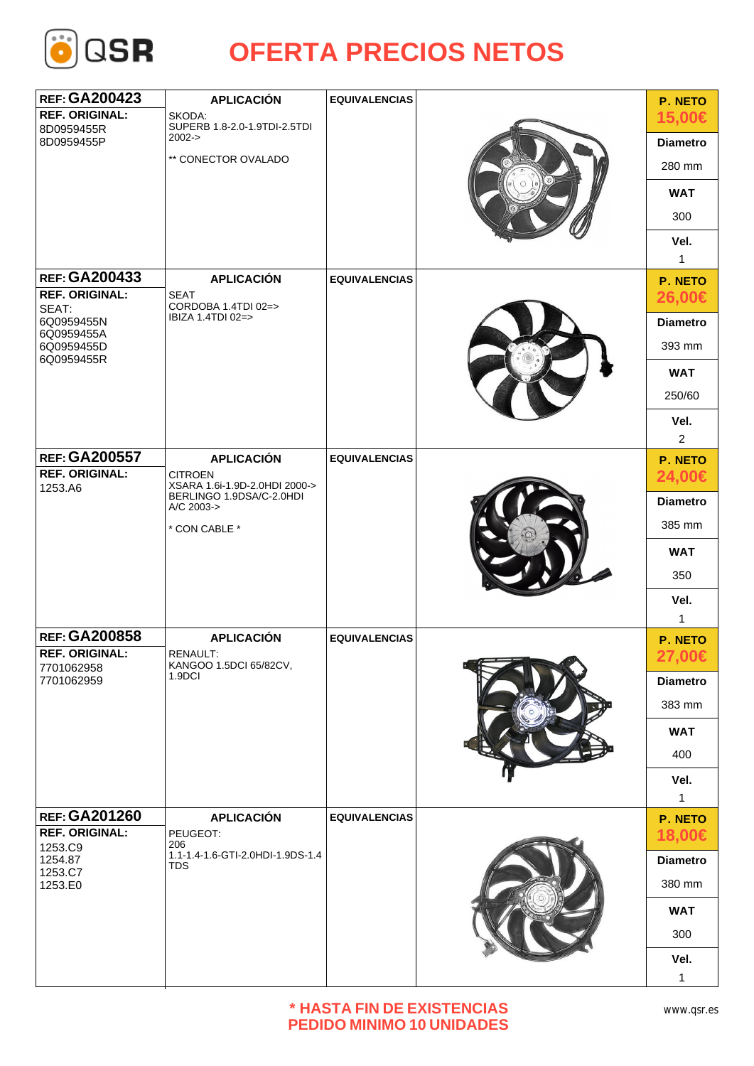

| <b>REF: GA200423</b>                                              | <b>APLICACIÓN</b>                                                           | <b>EQUIVALENCIAS</b> |                 | P. NETO              |
|-------------------------------------------------------------------|-----------------------------------------------------------------------------|----------------------|-----------------|----------------------|
| <b>REF. ORIGINAL:</b><br>8D0959455R<br>8D0959455P                 | SKODA:<br>SUPERB 1.8-2.0-1.9TDI-2.5TDI<br>$2002 - >$<br>** CONECTOR OVALADO |                      |                 | 15,00€               |
|                                                                   |                                                                             |                      |                 | <b>Diametro</b>      |
|                                                                   |                                                                             |                      | 280 mm          |                      |
|                                                                   |                                                                             |                      |                 | <b>WAT</b>           |
|                                                                   |                                                                             |                      |                 | 300                  |
|                                                                   |                                                                             |                      |                 | Vel.<br>$\mathbf{1}$ |
| <b>REF: GA200433</b>                                              | <b>APLICACIÓN</b>                                                           | <b>EQUIVALENCIAS</b> |                 | P. NETO              |
| <b>REF. ORIGINAL:</b><br>SEAT:                                    | <b>SEAT</b><br>CORDOBA 1.4TDI 02=><br>IBIZA 1.4TDI 02=>                     |                      |                 | 26,00€               |
| 6Q0959455N<br>6Q0959455A                                          |                                                                             |                      | <b>Diametro</b> |                      |
| 6Q0959455D                                                        |                                                                             |                      | 393 mm          |                      |
| 6Q0959455R                                                        |                                                                             |                      |                 | <b>WAT</b>           |
|                                                                   |                                                                             |                      |                 | 250/60               |
|                                                                   |                                                                             |                      |                 | Vel.                 |
|                                                                   |                                                                             |                      |                 | $\overline{2}$       |
| <b>REF: GA200557</b>                                              | <b>APLICACIÓN</b>                                                           | <b>EQUIVALENCIAS</b> |                 | P. NETO              |
| <b>REF. ORIGINAL:</b><br>1253.A6                                  | <b>CITROEN</b><br>XSARA 1.6i-1.9D-2.0HDI 2000->                             |                      |                 | 24,00€               |
|                                                                   | BERLINGO 1.9DSA/C-2.0HDI<br>A/C 2003-><br>* CON CABLE *                     |                      |                 | <b>Diametro</b>      |
|                                                                   |                                                                             |                      |                 | 385 mm               |
|                                                                   |                                                                             |                      |                 | <b>WAT</b>           |
|                                                                   |                                                                             |                      |                 | 350                  |
|                                                                   |                                                                             |                      |                 | Vel.                 |
|                                                                   |                                                                             |                      |                 | $\mathbf{1}$         |
| <b>REF: GA200858</b>                                              | <b>APLICACIÓN</b><br>RENAULT:<br>KANGOO 1.5DCI 65/82CV,<br>1.9DCI           | <b>EQUIVALENCIAS</b> | P. NETO         |                      |
| <b>REF. ORIGINAL:</b><br>7701062958                               |                                                                             |                      |                 | 27,00€               |
| 7701062959                                                        |                                                                             |                      |                 | <b>Diametro</b>      |
|                                                                   |                                                                             |                      | 383 mm          |                      |
|                                                                   |                                                                             |                      |                 | <b>WAT</b>           |
|                                                                   |                                                                             |                      |                 | 400                  |
|                                                                   |                                                                             |                      |                 | Vel.                 |
|                                                                   |                                                                             |                      |                 | $\mathbf{1}$         |
| <b>REF: GA201260</b>                                              | <b>APLICACIÓN</b>                                                           | <b>EQUIVALENCIAS</b> | P. NETO         |                      |
| <b>REF. ORIGINAL:</b><br>1253.C9<br>1254.87<br>1253.C7<br>1253.E0 | PEUGEOT:<br>206<br>1.1-1.4-1.6-GTI-2.0HDI-1.9DS-1.4<br>TDS                  |                      |                 | 18,00€               |
|                                                                   |                                                                             |                      |                 | <b>Diametro</b>      |
|                                                                   |                                                                             |                      |                 | 380 mm               |
|                                                                   |                                                                             |                      | <b>WAT</b>      |                      |
|                                                                   |                                                                             |                      | 300             |                      |
|                                                                   |                                                                             |                      |                 | Vel.                 |
|                                                                   |                                                                             |                      |                 | $\mathbf{1}$         |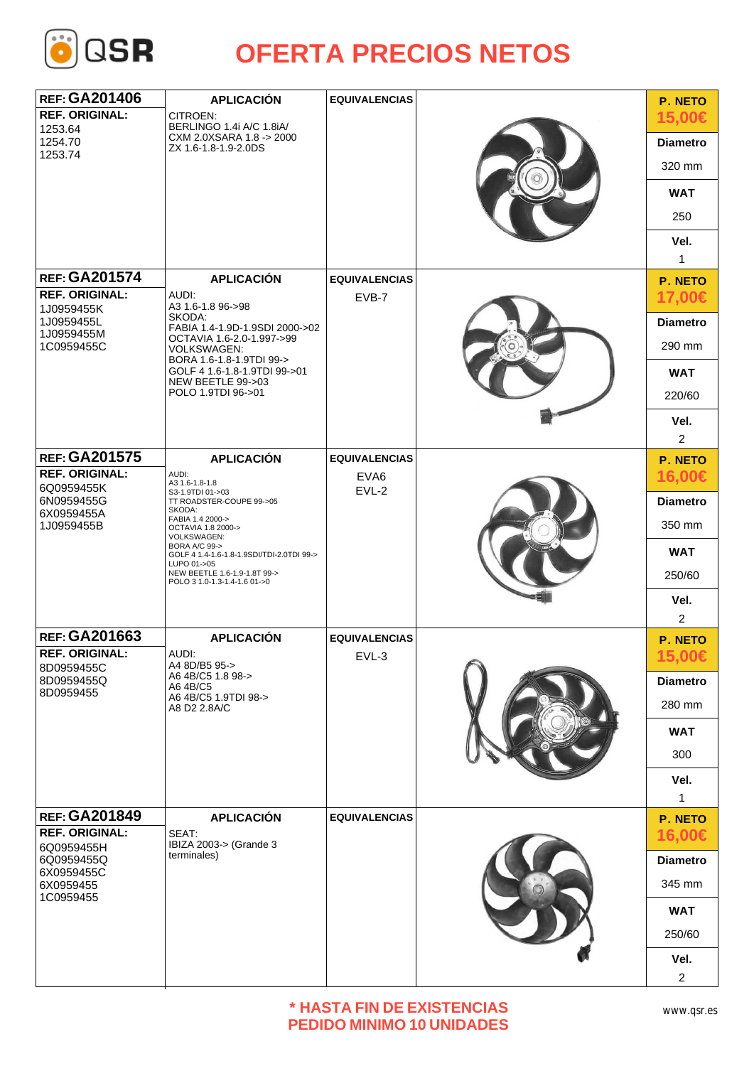

| <b>REF: GA201406</b><br><b>REF. ORIGINAL:</b><br>1253.64         | <b>APLICACIÓN</b><br>CITROEN:<br>BERLINGO 1.4i A/C 1.8iA/                                                                                                                                                                                | <b>EQUIVALENCIAS</b>         |  | <b>P. NETO</b><br>15,00€ |
|------------------------------------------------------------------|------------------------------------------------------------------------------------------------------------------------------------------------------------------------------------------------------------------------------------------|------------------------------|--|--------------------------|
| 1254.70                                                          | CXM 2.0XSARA 1.8 -> 2000                                                                                                                                                                                                                 |                              |  | <b>Diametro</b>          |
| 1253.74                                                          | ZX 1.6-1.8-1.9-2.0DS                                                                                                                                                                                                                     |                              |  | 320 mm                   |
|                                                                  |                                                                                                                                                                                                                                          |                              |  | <b>WAT</b>               |
|                                                                  |                                                                                                                                                                                                                                          |                              |  | 250                      |
|                                                                  |                                                                                                                                                                                                                                          |                              |  | Vel.<br>$\mathbf{1}$     |
| <b>REF: GA201574</b>                                             | <b>APLICACIÓN</b>                                                                                                                                                                                                                        | <b>EQUIVALENCIAS</b>         |  | P. NETO                  |
| <b>REF. ORIGINAL:</b><br>1J0959455K                              | AUDI:<br>A3 1.6-1.8 96->98<br>SKODA:<br>FABIA 1.4-1.9D-1.9SDI 2000->02<br>OCTAVIA 1.6-2.0-1.997->99<br><b>VOLKSWAGEN:</b><br>BORA 1.6-1.8-1.9TDI 99-><br>GOLF 4 1.6-1.8-1.9TDI 99->01<br>NEW BEETLE 99->03<br>POLO 1.9TDI 96->01         | EVB-7                        |  | 17,00€                   |
| 1J0959455L                                                       |                                                                                                                                                                                                                                          |                              |  | <b>Diametro</b>          |
| 1J0959455M<br>1C0959455C                                         |                                                                                                                                                                                                                                          |                              |  | 290 mm                   |
|                                                                  |                                                                                                                                                                                                                                          |                              |  | <b>WAT</b>               |
|                                                                  |                                                                                                                                                                                                                                          |                              |  | 220/60                   |
|                                                                  |                                                                                                                                                                                                                                          |                              |  | Vel.                     |
|                                                                  |                                                                                                                                                                                                                                          |                              |  | $\overline{2}$           |
| <b>REF: GA201575</b><br><b>REF. ORIGINAL:</b>                    | <b>APLICACIÓN</b><br>AUDI:                                                                                                                                                                                                               | <b>EQUIVALENCIAS</b><br>EVA6 |  | P. NETO<br>16,00€        |
| 6Q0959455K                                                       | A3 1.6-1.8-1.8<br>S3-1.9TDI 01->03                                                                                                                                                                                                       | $EVL-2$                      |  |                          |
| 6N0959455G<br>6X0959455A                                         | TT ROADSTER-COUPE 99->05<br>SKODA:<br>FABIA 1.4 2000-><br>OCTAVIA 1.8 2000-><br>VOLKSWAGEN:<br>BORA A/C 99-><br>GOLF 4 1.4-1.6-1.8-1.9SDI/TDI-2.0TDI 99-><br>LUPO 01->05<br>NEW BEETLE 1.6-1.9-1.8T 99-><br>POLO 3 1.0-1.3-1.4-1.6 01->0 |                              |  | <b>Diametro</b>          |
| 1J0959455B                                                       |                                                                                                                                                                                                                                          |                              |  | 350 mm                   |
|                                                                  |                                                                                                                                                                                                                                          |                              |  | <b>WAT</b>               |
|                                                                  |                                                                                                                                                                                                                                          |                              |  | 250/60                   |
|                                                                  |                                                                                                                                                                                                                                          |                              |  | Vel.                     |
| <b>REF: GA201663</b>                                             | <b>APLICACIÓN</b>                                                                                                                                                                                                                        | <b>EQUIVALENCIAS</b>         |  | $\overline{2}$           |
| <b>REF. ORIGINAL:</b><br>8D0959455C                              | AUDI:<br>A4 8D/B5 95->                                                                                                                                                                                                                   | $EVL-3$                      |  | P. NETO<br>15,00€        |
| 8D0959455Q                                                       | A6 4B/C5 1.8 98-><br>A6 4B/C5<br>A6 4B/C5 1.9TDI 98-><br>A8 D2 2.8A/C                                                                                                                                                                    |                              |  | <b>Diametro</b>          |
| 8D0959455                                                        |                                                                                                                                                                                                                                          |                              |  | 280 mm                   |
|                                                                  |                                                                                                                                                                                                                                          |                              |  | <b>WAT</b>               |
|                                                                  |                                                                                                                                                                                                                                          |                              |  | 300                      |
|                                                                  |                                                                                                                                                                                                                                          |                              |  | Vel.<br>1                |
| <b>REF: GA201849</b>                                             | <b>APLICACIÓN</b>                                                                                                                                                                                                                        | <b>EQUIVALENCIAS</b>         |  | P. NETO                  |
| <b>REF. ORIGINAL:</b>                                            | SEAT:<br>IBIZA 2003-> (Grande 3<br>terminales)                                                                                                                                                                                           |                              |  | 16,00€                   |
| 6Q0959455H<br>6Q0959455Q<br>6X0959455C<br>6X0959455<br>1C0959455 |                                                                                                                                                                                                                                          |                              |  | <b>Diametro</b>          |
|                                                                  |                                                                                                                                                                                                                                          |                              |  | 345 mm                   |
|                                                                  |                                                                                                                                                                                                                                          |                              |  | <b>WAT</b>               |
|                                                                  |                                                                                                                                                                                                                                          |                              |  | 250/60                   |
|                                                                  |                                                                                                                                                                                                                                          |                              |  | Vel.                     |
|                                                                  |                                                                                                                                                                                                                                          |                              |  | $\overline{2}$           |